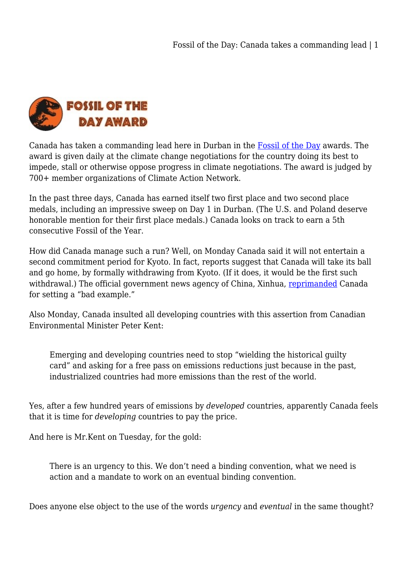

Canada has taken a commanding lead here in Durban in the [Fossil of the Day](http://www.climatenetwork.org/fossil-of-the-day) awards. The award is given daily at the climate change negotiations for the country doing its best to impede, stall or otherwise oppose progress in climate negotiations. The award is judged by 700+ member organizations of Climate Action Network.

In the past three days, Canada has earned itself two first place and two second place medals, including an impressive sweep on Day 1 in Durban. (The U.S. and Poland deserve honorable mention for their first place medals.) Canada looks on track to earn a 5th consecutive Fossil of the Year.

How did Canada manage such a run? Well, on Monday Canada said it will not entertain a second commitment period for Kyoto. In fact, reports suggest that Canada will take its ball and go home, by formally withdrawing from Kyoto. (If it does, it would be the first such withdrawal.) The official government news agency of China, Xinhua, [reprimanded](http://www.vancouversun.com/business/Canada+anti+Kyoto+stance+angers+China+climate+talks/5791941/story.html) Canada for setting a "bad example."

Also Monday, Canada insulted all developing countries with this assertion from Canadian Environmental Minister Peter Kent:

Emerging and developing countries need to stop "wielding the historical guilty card" and asking for a free pass on emissions reductions just because in the past, industrialized countries had more emissions than the rest of the world.

Yes, after a few hundred years of emissions by *developed* countries, apparently Canada feels that it is time for *developing* countries to pay the price.

And here is Mr.Kent on Tuesday, for the gold:

There is an urgency to this. We don't need a binding convention, what we need is action and a mandate to work on an eventual binding convention.

Does anyone else object to the use of the words *urgency* and *eventual* in the same thought?